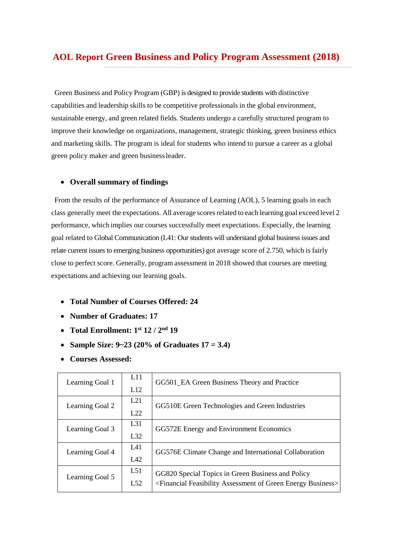Green Business and Policy Program (GBP) is designed to provide students with distinctive capabilities and leadership skills to be competitive professionals in the global environment, sustainable energy, and green related fields. Students undergo a carefully structured program to improve their knowledge on organizations, management, strategic thinking, green business ethics and marketing skills. The program is ideal for students who intend to pursue a career as a global green policy maker and green businessleader.

#### • **Overall summary of findings**

From the results of the performance of Assurance of Learning (AOL), 5 learning goals in each class generally meet the expectations. All average scoresrelated to each learning goal exceed level 2 performance, which implies our courses successfully meet expectations. Especially, the learning goal related to Global Communication (L41: Our students will understand global business issues and relate current issues to emerging business opportunities) got average score of 2.750, which is fairly close to perfect score. Generally, program assessment in 2018 showed that courses are meeting expectations and achieving our learning goals.

- **Total Number of Courses Offered: 24**
- **Number of Graduates: 17**
- **Total Enrollment: 1st 12 / 2nd 19**
- **Sample Size: 9~23 (20% of Graduates 17 = 3.4)**
- **Courses Assessed:**

| Learning Goal 1 | L11<br>L12             | GG501_EA Green Business Theory and Practice                                                                                                    |
|-----------------|------------------------|------------------------------------------------------------------------------------------------------------------------------------------------|
| Learning Goal 2 | L21<br>L22             | GG510E Green Technologies and Green Industries                                                                                                 |
| Learning Goal 3 | L31<br>L <sub>32</sub> | GG572E Energy and Environment Economics                                                                                                        |
| Learning Goal 4 | L41<br>IA2             | GG576E Climate Change and International Collaboration                                                                                          |
| Learning Goal 5 | L51<br>L52             | GG820 Special Topics in Green Business and Policy<br><financial assessment="" business="" energy="" feasibility="" green="" of=""></financial> |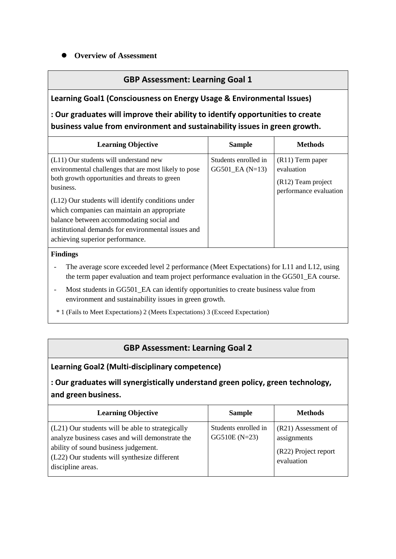### **Overview of Assessment**

## **GBP Assessment: Learning Goal 1**

### **Learning Goal1 (Consciousness on Energy Usage & Environmental Issues)**

# **: Our graduates will improve their ability to identify opportunities to create business value from environment and sustainability issues in green growth.**

| <b>Learning Objective</b>                                                                                                                                                                                                                                                                                                                                                                               | <b>Sample</b>                               | <b>Methods</b>                                                                   |
|---------------------------------------------------------------------------------------------------------------------------------------------------------------------------------------------------------------------------------------------------------------------------------------------------------------------------------------------------------------------------------------------------------|---------------------------------------------|----------------------------------------------------------------------------------|
| (L11) Our students will understand new<br>environmental challenges that are most likely to pose<br>both growth opportunities and threats to green<br>business.<br>(L12) Our students will identify conditions under<br>which companies can maintain an appropriate<br>balance between accommodating social and<br>institutional demands for environmental issues and<br>achieving superior performance. | Students enrolled in<br>$GG501$ $EA (N=13)$ | $(R11)$ Term paper<br>evaluation<br>(R12) Team project<br>performance evaluation |

#### **Findings**

- The average score exceeded level 2 performance (Meet Expectations) for L11 and L12, using the term paper evaluation and team project performance evaluation in the GG501\_EA course.
- Most students in GG501\_EA can identify opportunities to create business value from environment and sustainability issues in green growth.
- \* 1 (Fails to Meet Expectations) 2 (Meets Expectations) 3 (Exceed Expectation)

## **GBP Assessment: Learning Goal 2**

#### **Learning Goal2 (Multi-disciplinary competence)**

# **: Our graduates will synergistically understand green policy, green technology, and green business.**

| <b>Learning Objective</b>                                                                                                                                                                                        | <b>Sample</b>                           | <b>Methods</b>                                                           |
|------------------------------------------------------------------------------------------------------------------------------------------------------------------------------------------------------------------|-----------------------------------------|--------------------------------------------------------------------------|
| (L21) Our students will be able to strategically<br>analyze business cases and will demonstrate the<br>ability of sound business judgement.<br>(L22) Our students will synthesize different<br>discipline areas. | Students enrolled in<br>$GG510E (N=23)$ | (R21) Assessment of<br>assignments<br>(R22) Project report<br>evaluation |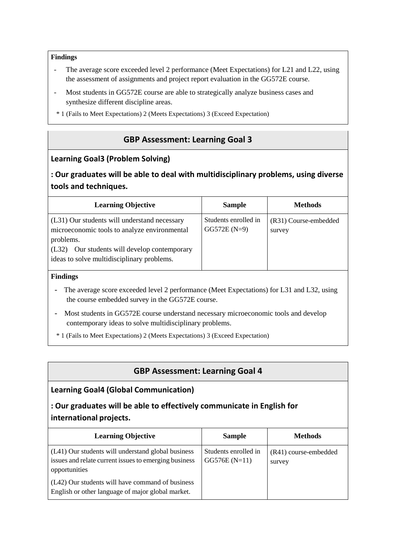#### **Findings**

- The average score exceeded level 2 performance (Meet Expectations) for L21 and L22, using the assessment of assignments and project report evaluation in the GG572E course.
- Most students in GG572E course are able to strategically analyze business cases and synthesize different discipline areas.
- \* 1 (Fails to Meet Expectations) 2 (Meets Expectations) 3 (Exceed Expectation)

# **GBP Assessment: Learning Goal 3**

### **Learning Goal3 (Problem Solving)**

## **: Our graduates will be able to deal with multidisciplinary problems, using diverse tools and techniques.**

| <b>Learning Objective</b>                                                                                                                                                                                  | <b>Sample</b>                         | <b>Methods</b>                  |
|------------------------------------------------------------------------------------------------------------------------------------------------------------------------------------------------------------|---------------------------------------|---------------------------------|
| (L31) Our students will understand necessary<br>microeconomic tools to analyze environmental<br>problems.<br>Our students will develop contemporary<br>(L32)<br>ideas to solve multidisciplinary problems. | Students enrolled in<br>$GG572E(N=9)$ | (R31) Course-embedded<br>survey |

#### **Findings**

- The average score exceeded level 2 performance (Meet Expectations) for L31 and L32, using the course embedded survey in the GG572E course.
- Most students in GG572E course understand necessary microeconomic tools and develop contemporary ideas to solve multidisciplinary problems.
- \* 1 (Fails to Meet Expectations) 2 (Meets Expectations) 3 (Exceed Expectation)

## **GBP Assessment: Learning Goal 4**

#### **Learning Goal4 (Global Communication)**

# **: Our graduates will be able to effectively communicate in English for international projects.**

| <b>Learning Objective</b>                                                                                                    | <b>Sample</b>                          | <b>Methods</b>                  |
|------------------------------------------------------------------------------------------------------------------------------|----------------------------------------|---------------------------------|
| (L41) Our students will understand global business<br>issues and relate current issues to emerging business<br>opportunities | Students enrolled in<br>$GG576E(N=11)$ | (R41) course-embedded<br>survey |
| (L42) Our students will have command of business<br>English or other language of major global market.                        |                                        |                                 |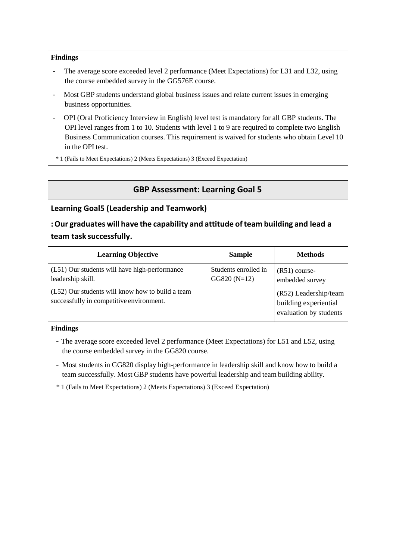#### **Findings**

- The average score exceeded level 2 performance (Meet Expectations) for L31 and L32, using the course embedded survey in the GG576E course.
- Most GBP students understand global business issues and relate current issues in emerging business opportunities.
- OPI (Oral Proficiency Interview in English) level test is mandatory for all GBP students. The OPI level ranges from 1 to 10. Students with level 1 to 9 are required to complete two English Business Communication courses. This requirement is waived for students who obtain Level 10 in the OPI test.
- \* 1 (Fails to Meet Expectations) 2 (Meets Expectations) 3 (Exceed Expectation)

# **GBP Assessment: Learning Goal 5**

#### **Learning Goal5 (Leadership and Teamwork)**

**:Our graduates will have the capability and attitude ofteam building and lead a team task successfully.**

| <b>Learning Objective</b>                                                                    | <b>Sample</b>                         | <b>Methods</b>                                                           |
|----------------------------------------------------------------------------------------------|---------------------------------------|--------------------------------------------------------------------------|
| (L51) Our students will have high-performance<br>leadership skill.                           | Students enrolled in<br>$GG820(N=12)$ | $(R51)$ course-<br>embedded survey                                       |
| (L52) Our students will know how to build a team<br>successfully in competitive environment. |                                       | (R52) Leadership/team<br>building experiential<br>evaluation by students |

#### **Findings**

- The average score exceeded level 2 performance (Meet Expectations) for L51 and L52, using the course embedded survey in the GG820 course.
- Most students in GG820 display high-performance in leadership skill and know how to build a team successfully. Most GBP students have powerful leadership and team building ability.
- \* 1 (Fails to Meet Expectations) 2 (Meets Expectations) 3 (Exceed Expectation)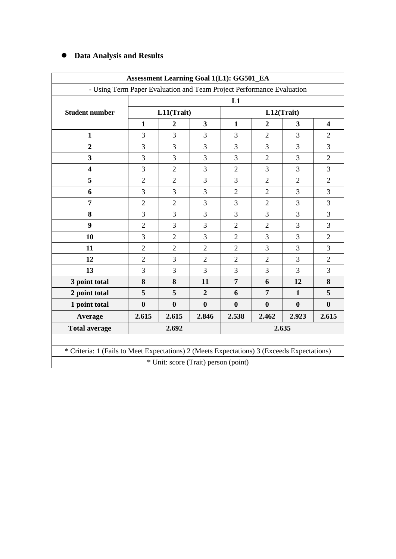### **Data Analysis and Results**

|                                                                                            | <b>Assessment Learning Goal 1(L1): GG501_EA</b>                       |                                      |                |                |                  |                |                         |  |  |  |
|--------------------------------------------------------------------------------------------|-----------------------------------------------------------------------|--------------------------------------|----------------|----------------|------------------|----------------|-------------------------|--|--|--|
|                                                                                            | - Using Term Paper Evaluation and Team Project Performance Evaluation |                                      |                |                |                  |                |                         |  |  |  |
|                                                                                            | L1                                                                    |                                      |                |                |                  |                |                         |  |  |  |
| <b>Student number</b>                                                                      |                                                                       | L11(Trait)                           |                |                |                  | L12(Trait)     |                         |  |  |  |
|                                                                                            | 1                                                                     | $\boldsymbol{2}$                     | 3              | $\mathbf{1}$   | $\boldsymbol{2}$ | 3              | $\overline{\mathbf{4}}$ |  |  |  |
| $\mathbf{1}$                                                                               | 3                                                                     | $\overline{3}$                       | 3              | 3              | $\overline{2}$   | 3              | $\overline{2}$          |  |  |  |
| $\overline{2}$                                                                             | 3                                                                     | 3                                    | 3              | $\overline{3}$ | 3                | 3              | 3                       |  |  |  |
| $\overline{\mathbf{3}}$                                                                    | 3                                                                     | 3                                    | 3              | 3              | $\overline{2}$   | 3              | $\overline{2}$          |  |  |  |
| $\overline{\mathbf{4}}$                                                                    | 3                                                                     | $\overline{2}$                       | 3              | $\overline{2}$ | $\overline{3}$   | 3              | 3                       |  |  |  |
| 5                                                                                          | $\overline{2}$                                                        | $\overline{2}$                       | 3              | 3              | $\overline{2}$   | $\overline{2}$ | $\overline{2}$          |  |  |  |
| 6                                                                                          | 3                                                                     | 3                                    | 3              | $\overline{2}$ | $\overline{2}$   | 3              | 3                       |  |  |  |
| $\overline{7}$                                                                             | $\overline{2}$                                                        | $\overline{2}$                       | $\overline{3}$ | $\overline{3}$ | $\overline{2}$   | 3              | 3                       |  |  |  |
| 8                                                                                          | 3                                                                     | 3                                    | 3              | 3              | 3                | 3              | 3                       |  |  |  |
| 9                                                                                          | $\overline{2}$                                                        | 3                                    | 3              | $\overline{2}$ | $\overline{2}$   | 3              | 3                       |  |  |  |
| 10                                                                                         | 3                                                                     | $\overline{2}$                       | 3              | $\overline{2}$ | 3                | 3              | $\overline{2}$          |  |  |  |
| 11                                                                                         | $\overline{2}$                                                        | $\overline{2}$                       | $\overline{2}$ | $\overline{2}$ | 3                | 3              | 3                       |  |  |  |
| 12                                                                                         | $\overline{2}$                                                        | $\overline{3}$                       | $\overline{2}$ | $\overline{2}$ | $\overline{2}$   | 3              | $\overline{2}$          |  |  |  |
| 13                                                                                         | 3                                                                     | 3                                    | 3              | 3              | 3                | 3              | 3                       |  |  |  |
| 3 point total                                                                              | 8                                                                     | 8                                    | 11             | $\overline{7}$ | 6                | 12             | 8                       |  |  |  |
| 2 point total                                                                              | 5                                                                     | 5                                    | $\overline{2}$ | 6              | 7                | $\mathbf{1}$   | 5                       |  |  |  |
| 1 point total                                                                              | $\bf{0}$                                                              | $\bf{0}$                             | $\bf{0}$       | $\bf{0}$       | $\boldsymbol{0}$ | $\bf{0}$       | $\bf{0}$                |  |  |  |
| Average                                                                                    | 2.615                                                                 | 2.615                                | 2.846          | 2.538          | 2.462            | 2.923          | 2.615                   |  |  |  |
| <b>Total average</b>                                                                       |                                                                       | 2.692                                |                |                |                  | 2.635          |                         |  |  |  |
|                                                                                            |                                                                       |                                      |                |                |                  |                |                         |  |  |  |
| * Criteria: 1 (Fails to Meet Expectations) 2 (Meets Expectations) 3 (Exceeds Expectations) |                                                                       |                                      |                |                |                  |                |                         |  |  |  |
|                                                                                            |                                                                       | * Unit: score (Trait) person (point) |                |                |                  |                |                         |  |  |  |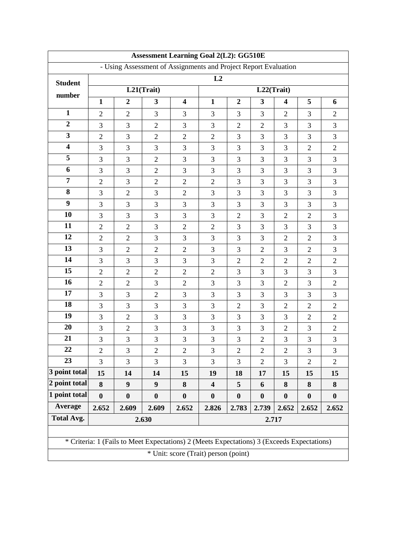| <b>Assessment Learning Goal 2(L2): GG510E</b> |                                                                 |                  |                                                                                            |                  |                                      |                  |                  |                         |                  |                  |  |
|-----------------------------------------------|-----------------------------------------------------------------|------------------|--------------------------------------------------------------------------------------------|------------------|--------------------------------------|------------------|------------------|-------------------------|------------------|------------------|--|
|                                               | - Using Assessment of Assignments and Project Report Evaluation |                  |                                                                                            |                  |                                      |                  |                  |                         |                  |                  |  |
| <b>Student</b>                                |                                                                 |                  |                                                                                            |                  | L2                                   |                  |                  |                         |                  |                  |  |
| number                                        |                                                                 |                  | L21(Trait)                                                                                 |                  |                                      |                  | L22(Trait)       |                         |                  |                  |  |
|                                               | $\mathbf{1}$                                                    | $\boldsymbol{2}$ | $\overline{\mathbf{3}}$                                                                    | 4                | $\mathbf{1}$                         | $\boldsymbol{2}$ | 3                | $\overline{\mathbf{4}}$ | 5                | 6                |  |
| $\mathbf{1}$                                  | $\overline{2}$                                                  | $\mathbf{2}$     | 3                                                                                          | 3                | 3                                    | 3                | 3                | $\overline{2}$          | 3                | $\overline{2}$   |  |
| $\boldsymbol{2}$                              | 3                                                               | 3                | $\overline{2}$                                                                             | 3                | 3                                    | $\overline{2}$   | $\overline{2}$   | 3                       | 3                | 3                |  |
| $\overline{\mathbf{3}}$                       | $\overline{2}$                                                  | 3                | $\overline{2}$                                                                             | $\overline{2}$   | $\overline{2}$                       | 3                | 3                | 3                       | 3                | 3                |  |
| $\overline{\mathbf{4}}$                       | 3                                                               | 3                | 3                                                                                          | 3                | 3                                    | 3                | 3                | 3                       | $\mathbf{2}$     | $\overline{2}$   |  |
| 5                                             | 3                                                               | 3                | $\overline{2}$                                                                             | 3                | 3                                    | 3                | $\overline{3}$   | $\overline{3}$          | 3                | 3                |  |
| 6                                             | 3                                                               | $\mathfrak{Z}$   | $\overline{2}$                                                                             | 3                | 3                                    | 3                | 3                | 3                       | 3                | 3                |  |
| $\overline{7}$                                | $\overline{2}$                                                  | $\mathfrak{Z}$   | $\sqrt{2}$                                                                                 | $\mathbf{2}$     | $\overline{2}$                       | 3                | 3                | $\overline{3}$          | $\overline{3}$   | 3                |  |
| 8                                             | 3                                                               | $\overline{2}$   | 3                                                                                          | $\overline{2}$   | 3                                    | 3                | 3                | 3                       | 3                | 3                |  |
| 9                                             | 3                                                               | 3                | 3                                                                                          | 3                | 3                                    | 3                | 3                | 3                       | 3                | 3                |  |
| 10                                            | 3                                                               | 3                | 3                                                                                          | 3                | 3                                    | $\overline{2}$   | 3                | $\overline{2}$          | $\overline{2}$   | 3                |  |
| 11                                            | $\overline{2}$                                                  | $\overline{2}$   | 3                                                                                          | $\overline{2}$   | $\overline{2}$                       | 3                | 3                | 3                       | 3                | 3                |  |
| 12                                            | $\overline{2}$                                                  | $\mathbf{2}$     | 3                                                                                          | 3                | 3                                    | 3                | 3                | $\overline{2}$          | $\overline{2}$   | 3                |  |
| 13                                            | 3                                                               | $\overline{2}$   | $\overline{2}$                                                                             | $\overline{2}$   | 3                                    | 3                | $\overline{2}$   | $\overline{3}$          | $\overline{2}$   | 3                |  |
| 14                                            | 3                                                               | 3                | 3                                                                                          | 3                | 3                                    | $\overline{2}$   | $\overline{2}$   | $\overline{2}$          | $\overline{2}$   | $\overline{2}$   |  |
| 15                                            | $\overline{2}$                                                  | $\mathbf{2}$     | $\overline{2}$                                                                             | $\overline{2}$   | $\overline{2}$                       | 3                | 3                | 3                       | 3                | 3                |  |
| 16                                            | $\overline{2}$                                                  | $\overline{2}$   | 3                                                                                          | $\overline{2}$   | 3                                    | 3                | 3                | $\overline{2}$          | 3                | $\overline{2}$   |  |
| 17                                            | 3                                                               | 3                | $\overline{2}$                                                                             | 3                | 3                                    | 3                | 3                | 3                       | 3                | 3                |  |
| 18                                            | 3                                                               | $\mathfrak{Z}$   | 3                                                                                          | 3                | 3                                    | $\overline{2}$   | 3                | $\overline{2}$          | $\overline{2}$   | $\overline{2}$   |  |
| 19                                            | 3                                                               | $\overline{2}$   | 3                                                                                          | 3                | 3                                    | 3                | 3                | $\overline{3}$          | $\overline{2}$   | $\overline{2}$   |  |
| 20                                            | 3                                                               | $\mathbf{2}$     | 3                                                                                          | 3                | 3                                    | 3                | 3                | $\overline{2}$          | 3                | $\overline{2}$   |  |
| 21                                            | 3                                                               | $\mathfrak{Z}$   | $\mathfrak{Z}$                                                                             | $\mathfrak{Z}$   | 3                                    | 3                | $\overline{c}$   | 3                       | 3                | 3                |  |
| 22                                            | 2                                                               | 3                | 2                                                                                          | 2                | 3                                    | 2                | 2                | $\overline{c}$          | 3                | 3                |  |
| 23                                            | 3                                                               | 3                | 3                                                                                          | 3                | 3                                    | 3                | $\overline{2}$   | 3                       | $\overline{2}$   | $\overline{2}$   |  |
| 3 point total                                 | 15                                                              | 14               | 14                                                                                         | 15               | 19                                   | 18               | 17               | 15                      | 15               | 15               |  |
| 2 point total                                 | 8                                                               | $\boldsymbol{9}$ | $\boldsymbol{9}$                                                                           | 8                | $\overline{\mathbf{4}}$              | 5                | 6                | 8                       | 8                | 8                |  |
| 1 point total                                 | $\boldsymbol{0}$                                                | $\boldsymbol{0}$ | $\boldsymbol{0}$                                                                           | $\boldsymbol{0}$ | $\boldsymbol{0}$                     | $\boldsymbol{0}$ | $\boldsymbol{0}$ | $\boldsymbol{0}$        | $\boldsymbol{0}$ | $\boldsymbol{0}$ |  |
| Average                                       | 2.652                                                           | 2.609            | 2.609                                                                                      | 2.652            | 2.826                                | 2.783            | 2.739            | 2.652                   | 2.652            | 2.652            |  |
| <b>Total Avg.</b>                             |                                                                 |                  | 2.630                                                                                      |                  |                                      |                  | 2.717            |                         |                  |                  |  |
|                                               |                                                                 |                  |                                                                                            |                  |                                      |                  |                  |                         |                  |                  |  |
|                                               |                                                                 |                  | * Criteria: 1 (Fails to Meet Expectations) 2 (Meets Expectations) 3 (Exceeds Expectations) |                  |                                      |                  |                  |                         |                  |                  |  |
|                                               |                                                                 |                  |                                                                                            |                  | * Unit: score (Trait) person (point) |                  |                  |                         |                  |                  |  |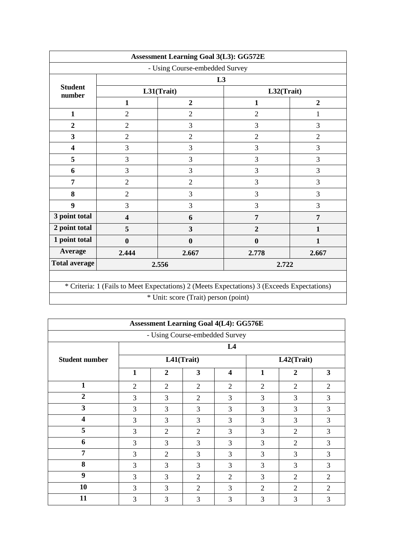|                          |                         | <b>Assessment Learning Goal 3(L3): GG572E</b>                                              |                  |                  |  |  |  |
|--------------------------|-------------------------|--------------------------------------------------------------------------------------------|------------------|------------------|--|--|--|
|                          |                         | - Using Course-embedded Survey                                                             |                  |                  |  |  |  |
| L <sub>3</sub>           |                         |                                                                                            |                  |                  |  |  |  |
| <b>Student</b><br>number |                         | L31(Trait)                                                                                 | L32(Trait)       |                  |  |  |  |
|                          | $\mathbf{1}$            | $\overline{2}$                                                                             | $\mathbf{1}$     | $\boldsymbol{2}$ |  |  |  |
| $\mathbf{1}$             | $\overline{2}$          | $\overline{2}$                                                                             | $\overline{2}$   | 1                |  |  |  |
| $\overline{2}$           | $\overline{2}$          | 3                                                                                          | 3                | 3                |  |  |  |
| $\overline{\mathbf{3}}$  | $\overline{2}$          | $\overline{2}$                                                                             | $\overline{2}$   | $\overline{2}$   |  |  |  |
| $\overline{\mathbf{4}}$  | 3                       | 3                                                                                          | 3                | 3                |  |  |  |
| 5                        | 3                       | 3                                                                                          | 3                | 3                |  |  |  |
| 6                        | 3                       | 3                                                                                          | 3                | 3                |  |  |  |
| 7                        | $\overline{2}$          | $\overline{2}$                                                                             | 3                | 3                |  |  |  |
| 8                        | $\overline{2}$          | 3                                                                                          | 3                | 3                |  |  |  |
| $\boldsymbol{9}$         | 3                       | 3                                                                                          | 3                | 3                |  |  |  |
| 3 point total            | $\overline{\mathbf{4}}$ | 6                                                                                          | $\overline{7}$   | $\overline{7}$   |  |  |  |
| 2 point total            | 5                       | 3                                                                                          | $\overline{2}$   | 1                |  |  |  |
| 1 point total            | $\boldsymbol{0}$        | $\bf{0}$                                                                                   | $\boldsymbol{0}$ | $\mathbf{1}$     |  |  |  |
| Average                  | 2.444                   | 2.667                                                                                      | 2.778            | 2.667            |  |  |  |
| <b>Total average</b>     |                         | 2.556                                                                                      | 2.722            |                  |  |  |  |
|                          |                         |                                                                                            |                  |                  |  |  |  |
|                          |                         | * Criteria: 1 (Fails to Meet Expectations) 2 (Meets Expectations) 3 (Exceeds Expectations) |                  |                  |  |  |  |
|                          |                         | * Unit: score (Trait) person (point)                                                       |                  |                  |  |  |  |

| <b>Assessment Learning Goal 4(L4): GG576E</b> |                |                |                |                         |   |                  |                |  |  |
|-----------------------------------------------|----------------|----------------|----------------|-------------------------|---|------------------|----------------|--|--|
| - Using Course-embedded Survey                |                |                |                |                         |   |                  |                |  |  |
|                                               |                | L4             |                |                         |   |                  |                |  |  |
| <b>Student number</b>                         |                | L41(Trait)     |                |                         |   | L42(Trait)       |                |  |  |
|                                               | 1              | $\overline{2}$ | 3              | $\overline{\mathbf{4}}$ | 1 | $\boldsymbol{2}$ | 3              |  |  |
| 1                                             | $\overline{2}$ | 2              | 2              | $\overline{2}$          | 2 | 2                | $\overline{2}$ |  |  |
| $\overline{2}$                                | 3              | 3              | $\overline{2}$ | 3                       | 3 | 3                | 3              |  |  |
| $\mathbf{3}$                                  | 3              | 3              | 3              | 3                       | 3 | 3                | 3              |  |  |
| $\overline{\mathbf{4}}$                       | 3              | 3              | 3              | 3                       | 3 | 3                | 3              |  |  |
| 5                                             | 3              | $\overline{2}$ | $\overline{2}$ | 3                       | 3 | $\overline{2}$   | 3              |  |  |
| 6                                             | 3              | 3              | 3              | 3                       | 3 | 2                | 3              |  |  |
| 7                                             | 3              | 2              | 3              | 3                       | 3 | 3                | 3              |  |  |
| 8                                             | 3              | 3              | 3              | 3                       | 3 | 3                | 3              |  |  |
| 9                                             | 3              | 3              | 2              | $\overline{2}$          | 3 | $\mathfrak{D}$   | $\overline{2}$ |  |  |
| 10                                            | 3              | 3              | 2              | 3                       | 2 | $\overline{2}$   | $\overline{2}$ |  |  |
| 11                                            | 3              | 3              | 3              | 3                       | 3 | 3                | 3              |  |  |